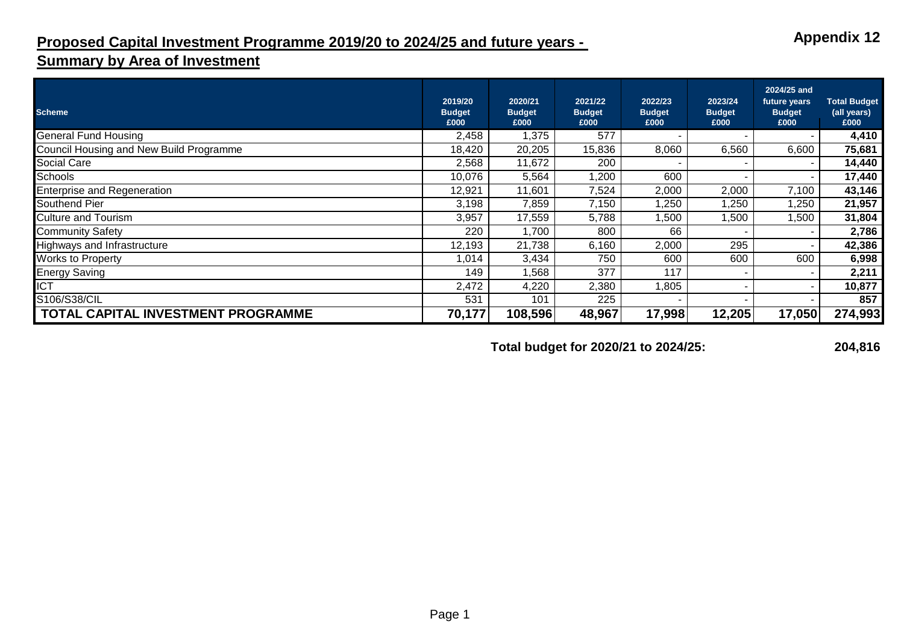## **Proposed Capital Investment Programme 2019/20 to 2024/25 and future years -**

## **Summary by Area of Investment**

| <b>Scheme</b>                           | 2019/20<br><b>Budget</b> | 2020/21<br><b>Budget</b> | 2021/22<br><b>Budget</b> | 2022/23<br><b>Budget</b> | 2023/24<br><b>Budget</b> | 2024/25 and<br>future years<br><b>Budget</b> | <b>Total Budget</b><br>(all years) |
|-----------------------------------------|--------------------------|--------------------------|--------------------------|--------------------------|--------------------------|----------------------------------------------|------------------------------------|
|                                         | £000                     | £000                     | £000                     | £000                     | £000                     | £000                                         | £000                               |
| <b>General Fund Housing</b>             | 2,458                    | 1,375                    | 577                      |                          |                          |                                              | 4,410                              |
| Council Housing and New Build Programme | 18,420                   | 20,205                   | 15,836                   | 8,060                    | 6,560                    | 6,600                                        | 75,681                             |
| <b>Social Care</b>                      | 2,568                    | 11,672                   | 200                      |                          |                          |                                              | 14,440                             |
| Schools                                 | 10,076                   | 5,564                    | 1,200                    | 600                      |                          |                                              | 17,440                             |
| <b>Enterprise and Regeneration</b>      | 12,921                   | 11,601                   | 7,524                    | 2,000                    | 2,000                    | 7,100                                        | 43,146                             |
| Southend Pier                           | 3,198                    | 7,859                    | 7,150                    | 1,250                    | ,250                     | ,250                                         | 21,957                             |
| <b>Culture and Tourism</b>              | 3,957                    | 17,559                   | 5,788                    | ,500                     | 500, ا                   | ,500                                         | 31,804                             |
| <b>Community Safety</b>                 | 220                      | ,700                     | 800                      | 66                       |                          | ٠                                            | 2,786                              |
| Highways and Infrastructure             | 12,193                   | 21,738                   | 6,160                    | 2,000                    | 295                      |                                              | 42,386                             |
| <b>Works to Property</b>                | 1,014                    | 3,434                    | 750                      | 600                      | 600                      | 600                                          | 6,998                              |
| <b>Energy Saving</b>                    | 149                      | ,568                     | 377                      | 117                      |                          |                                              | 2,211                              |
| <b>ICT</b>                              | 2,472                    | 4,220                    | 2,380                    | 1,805                    |                          |                                              | 10,877                             |
| S106/S38/CIL                            | 531                      | 101                      | 225                      |                          |                          |                                              | 857                                |
| TOTAL CAPITAL INVESTMENT PROGRAMME      | 70,177                   | 108,596                  | 48,967                   | 17,998                   | 12,205                   | 17,050                                       | 274,993                            |

**Total budget for 2020/21 to 2024/25: 204,816**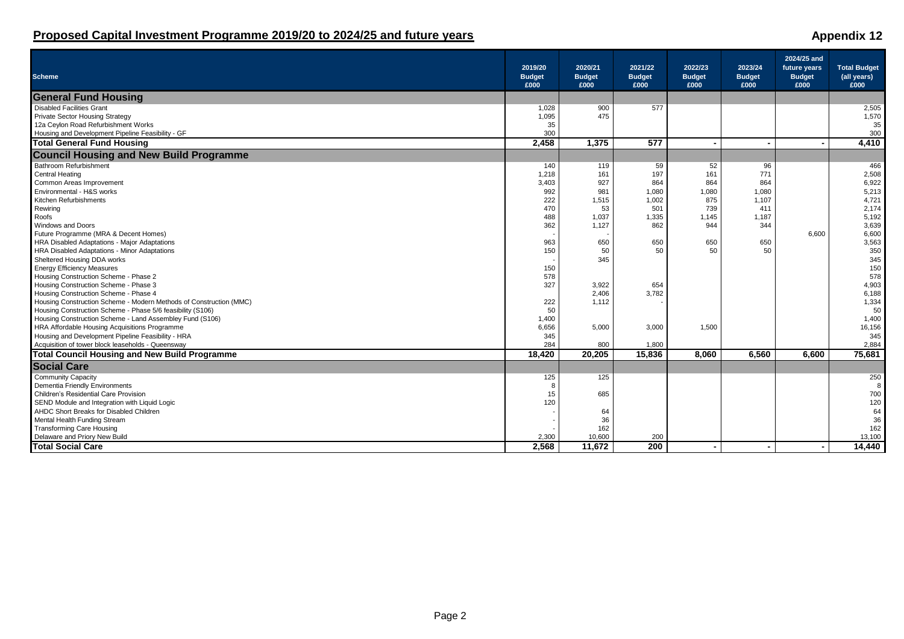| <b>Scheme</b>                                                      | 2019/20<br><b>Budget</b><br>£000 | 2020/21<br><b>Budget</b><br>£000 | 2021/22<br><b>Budget</b><br>£000 | 2022/23<br><b>Budget</b><br>£000 | 2023/24<br><b>Budget</b><br>£000 | 2024/25 and<br>future years<br><b>Budget</b><br>£000 | <b>Total Budget</b><br>(all years)<br>£000 |
|--------------------------------------------------------------------|----------------------------------|----------------------------------|----------------------------------|----------------------------------|----------------------------------|------------------------------------------------------|--------------------------------------------|
| <b>General Fund Housing</b>                                        |                                  |                                  |                                  |                                  |                                  |                                                      |                                            |
| <b>Disabled Facilities Grant</b>                                   | 1,028                            | 900                              | 577                              |                                  |                                  |                                                      | 2,505                                      |
| <b>Private Sector Housing Strategy</b>                             | 1,095                            | 475                              |                                  |                                  |                                  |                                                      | 1,570                                      |
| 12a Ceylon Road Refurbishment Works                                | 35                               |                                  |                                  |                                  |                                  |                                                      | 35                                         |
| Housing and Development Pipeline Feasibility - GF                  | 300                              |                                  |                                  |                                  |                                  |                                                      | 300                                        |
| <b>Total General Fund Housing</b>                                  | 2,458                            | 1,375                            | 577                              | $\blacksquare$                   |                                  |                                                      | 4,410                                      |
| <b>Council Housing and New Build Programme</b>                     |                                  |                                  |                                  |                                  |                                  |                                                      |                                            |
| Bathroom Refurbishment                                             | 140                              | 119                              | 59                               | 52                               | 96                               |                                                      | 466                                        |
| Central Heating                                                    | 1,218                            | 161                              | 197                              | 161                              | 771                              |                                                      | 2,508                                      |
| Common Areas Improvement                                           | 3,403                            | 927                              | 864                              | 864                              | 864                              |                                                      | 6,922                                      |
| Environmental - H&S works                                          | 992                              | 981                              | 1,080                            | 1,080                            | 1,080                            |                                                      | 5,213                                      |
| Kitchen Refurbishments                                             | 222                              | 1,515                            | 1,002                            | 875                              | 1,107                            |                                                      | 4,721                                      |
| Rewiring                                                           | 470                              | 53                               | 501                              | 739                              | 411                              |                                                      | 2,174                                      |
| Roofs                                                              | 488                              | 1,037                            | 1,335                            | 1,145                            | 1,187                            |                                                      | 5,192                                      |
| Windows and Doors                                                  | 362                              | 1,127                            | 862                              | 944                              | 344                              |                                                      | 3,639                                      |
| Future Programme (MRA & Decent Homes)                              |                                  |                                  |                                  |                                  |                                  | 6.600                                                | 6,600                                      |
| HRA Disabled Adaptations - Major Adaptations                       | 963                              | 650                              | 650<br>50                        | 650                              | 650<br>50                        |                                                      | 3,563                                      |
| HRA Disabled Adaptations - Minor Adaptations                       | 150                              | 50<br>345                        |                                  | 50                               |                                  |                                                      | 350<br>345                                 |
| Sheltered Housing DDA works<br><b>Energy Efficiency Measures</b>   | 150                              |                                  |                                  |                                  |                                  |                                                      | 150                                        |
| Housing Construction Scheme - Phase 2                              | 578                              |                                  |                                  |                                  |                                  |                                                      | 578                                        |
| Housing Construction Scheme - Phase 3                              | 327                              | 3,922                            | 654                              |                                  |                                  |                                                      | 4,903                                      |
| Housing Construction Scheme - Phase 4                              |                                  | 2,406                            | 3,782                            |                                  |                                  |                                                      | 6,188                                      |
| Housing Construction Scheme - Modern Methods of Construction (MMC) | 222                              | 1,112                            |                                  |                                  |                                  |                                                      | 1,334                                      |
| Housing Construction Scheme - Phase 5/6 feasibility (S106)         | 50                               |                                  |                                  |                                  |                                  |                                                      | 50                                         |
| Housing Construction Scheme - Land Assembley Fund (S106)           | 1,400                            |                                  |                                  |                                  |                                  |                                                      | 1,400                                      |
| HRA Affordable Housing Acquisitions Programme                      | 6,656                            | 5,000                            | 3,000                            | 1,500                            |                                  |                                                      | 16,156                                     |
| Housing and Development Pipeline Feasibility - HRA                 | 345                              |                                  |                                  |                                  |                                  |                                                      | 345                                        |
| Acquisition of tower block leaseholds - Queensway                  | 284                              | 800                              | 1,800                            |                                  |                                  |                                                      | 2,884                                      |
| <b>Total Council Housing and New Build Programme</b>               | 18,420                           | 20,205                           | 15,836                           | 8,060                            | 6,560                            | 6.600                                                | 75,681                                     |
| <b>Social Care</b>                                                 |                                  |                                  |                                  |                                  |                                  |                                                      |                                            |
| <b>Community Capacity</b>                                          | 125                              | 125                              |                                  |                                  |                                  |                                                      | 250                                        |
| Dementia Friendly Environments                                     |                                  |                                  |                                  |                                  |                                  |                                                      | 8                                          |
| Children's Residential Care Provision                              | 15                               | 685                              |                                  |                                  |                                  |                                                      | 700                                        |
| SEND Module and Integration with Liquid Logic                      | 120                              |                                  |                                  |                                  |                                  |                                                      | 120                                        |
| AHDC Short Breaks for Disabled Children                            |                                  | 64                               |                                  |                                  |                                  |                                                      | 64                                         |
| Mental Health Funding Stream                                       |                                  | 36                               |                                  |                                  |                                  |                                                      | 36                                         |
| <b>Transforming Care Housing</b>                                   |                                  | 162                              |                                  |                                  |                                  |                                                      | 162                                        |
| Delaware and Priory New Build                                      | 2,300                            | 10,600                           | 200                              |                                  |                                  |                                                      | 13,100                                     |
| <b>Total Social Care</b>                                           | 2.568                            | 11.672                           | 200                              | $\blacksquare$                   |                                  | $\blacksquare$                                       | 14.440                                     |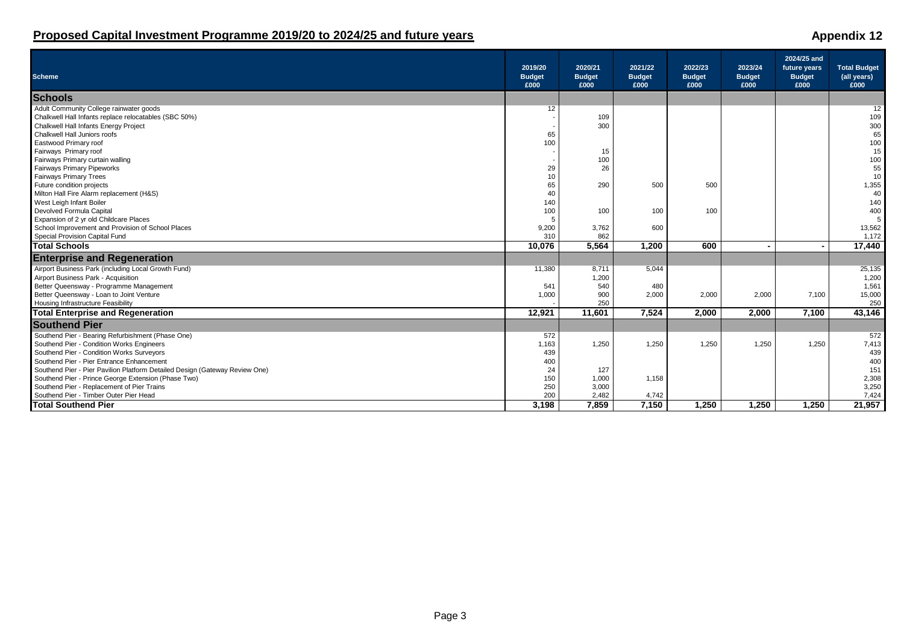| <b>Scheme</b>                                                               | 2019/20<br><b>Budget</b><br>£000 | 2020/21<br><b>Budget</b><br>£000 | 2021/22<br><b>Budget</b><br>£000 | 2022/23<br><b>Budget</b><br>£000 | 2023/24<br><b>Budget</b><br>£000 | 2024/25 and<br>future years<br><b>Budget</b><br>£000 | <b>Total Budget</b><br>(all years)<br>£000 |
|-----------------------------------------------------------------------------|----------------------------------|----------------------------------|----------------------------------|----------------------------------|----------------------------------|------------------------------------------------------|--------------------------------------------|
| <b>Schools</b>                                                              |                                  |                                  |                                  |                                  |                                  |                                                      |                                            |
| Adult Community College rainwater goods                                     | 12                               |                                  |                                  |                                  |                                  |                                                      | 12                                         |
| Chalkwell Hall Infants replace relocatables (SBC 50%)                       |                                  | 109                              |                                  |                                  |                                  |                                                      | 109                                        |
| Chalkwell Hall Infants Energy Project                                       |                                  | 300                              |                                  |                                  |                                  |                                                      | 300                                        |
| Chalkwell Hall Juniors roofs                                                | 65                               |                                  |                                  |                                  |                                  |                                                      | 65                                         |
| Eastwood Primary roof                                                       | 100                              |                                  |                                  |                                  |                                  |                                                      | 100                                        |
| Fairways Primary roof                                                       |                                  | 15                               |                                  |                                  |                                  |                                                      | 15                                         |
| Fairways Primary curtain walling                                            |                                  | 100                              |                                  |                                  |                                  |                                                      | 100                                        |
| <b>Fairways Primary Pipeworks</b>                                           | 29                               | 26                               |                                  |                                  |                                  |                                                      | 55                                         |
| <b>Fairways Primary Trees</b>                                               | 10                               |                                  |                                  |                                  |                                  |                                                      | 10                                         |
| Future condition projects                                                   | 65                               | 290                              | 500                              | 500                              |                                  |                                                      | 1,355                                      |
| Milton Hall Fire Alarm replacement (H&S)                                    | 40                               |                                  |                                  |                                  |                                  |                                                      | 40                                         |
| West Leigh Infant Boiler                                                    | 140                              |                                  |                                  |                                  |                                  |                                                      | 140                                        |
| Devolved Formula Capital                                                    | 100                              | 100                              | 100                              | 100                              |                                  |                                                      | 400                                        |
| Expansion of 2 yr old Childcare Places                                      | -5                               |                                  |                                  |                                  |                                  |                                                      | 5                                          |
| School Improvement and Provision of School Places                           | 9,200                            | 3,762                            | 600                              |                                  |                                  |                                                      | 13,562                                     |
| Special Provision Capital Fund                                              | 310                              | 862                              |                                  |                                  |                                  |                                                      | 1,172                                      |
| <b>Total Schools</b>                                                        | 10,076                           | 5,564                            | 1,200                            | 600                              |                                  |                                                      | 17,440                                     |
| <b>Enterprise and Regeneration</b>                                          |                                  |                                  |                                  |                                  |                                  |                                                      |                                            |
| Airport Business Park (including Local Growth Fund)                         | 11,380                           | 8,711                            | 5,044                            |                                  |                                  |                                                      | 25,135                                     |
| Airport Business Park - Acquisition                                         |                                  | 1,200                            |                                  |                                  |                                  |                                                      | 1,200                                      |
| Better Queensway - Programme Management                                     | 541                              | 540                              | 480                              |                                  |                                  |                                                      | 1,561                                      |
| Better Queensway - Loan to Joint Venture                                    | 1,000                            | 900                              | 2,000                            | 2,000                            | 2,000                            | 7,100                                                | 15,000                                     |
| Housing Infrastructure Feasibility                                          |                                  | 250                              |                                  |                                  |                                  |                                                      | 250                                        |
| <b>Total Enterprise and Regeneration</b>                                    | 12,921                           | 11,601                           | 7,524                            | 2,000                            | 2,000                            | 7,100                                                | 43,146                                     |
| <b>Southend Pier</b>                                                        |                                  |                                  |                                  |                                  |                                  |                                                      |                                            |
| Southend Pier - Bearing Refurbishment (Phase One)                           | 572                              |                                  |                                  |                                  |                                  |                                                      | 572                                        |
| Southend Pier - Condition Works Engineers                                   | 1,163                            | 1,250                            | 1,250                            | 1,250                            | 1,250                            | 1,250                                                | 7,413                                      |
| Southend Pier - Condition Works Surveyors                                   | 439                              |                                  |                                  |                                  |                                  |                                                      | 439                                        |
| Southend Pier - Pier Entrance Enhancement                                   | 400                              |                                  |                                  |                                  |                                  |                                                      | 400                                        |
| Southend Pier - Pier Pavilion Platform Detailed Design (Gateway Review One) | 24                               | 127                              |                                  |                                  |                                  |                                                      | 151                                        |
| Southend Pier - Prince George Extension (Phase Two)                         | 150                              | 1,000                            | 1,158                            |                                  |                                  |                                                      | 2,308                                      |
| Southend Pier - Replacement of Pier Trains                                  | 250                              | 3,000                            |                                  |                                  |                                  |                                                      | 3,250                                      |
| Southend Pier - Timber Outer Pier Head                                      | 200                              | 2,482                            | 4,742                            |                                  |                                  |                                                      | 7,424                                      |
| <b>Total Southend Pier</b>                                                  | 3,198                            | 7,859                            | 7,150                            | 1,250                            | 1.250                            | 1,250                                                | 21,957                                     |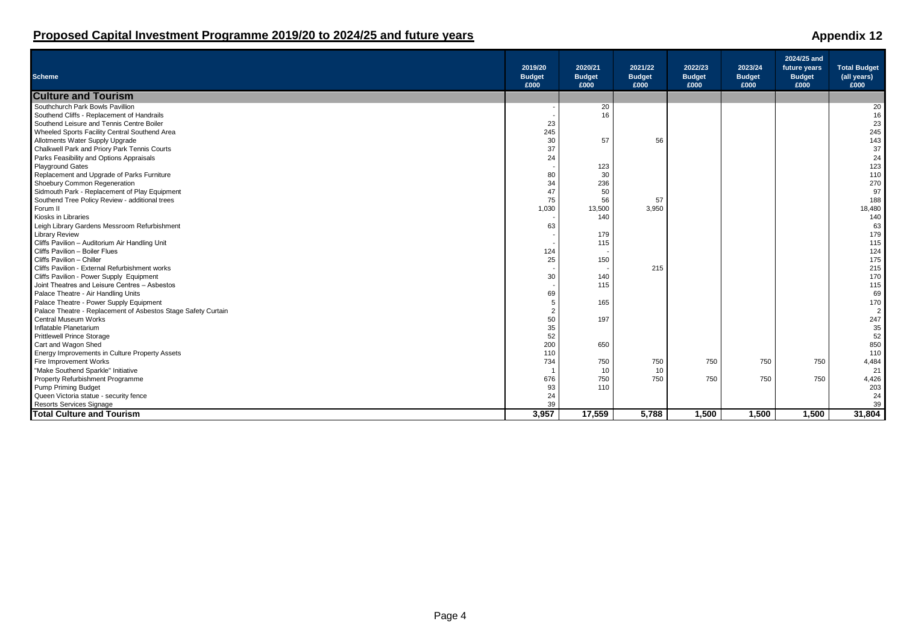| <b>Scheme</b>                                                       | 2019/20<br><b>Budget</b><br>£000 | 2020/21<br><b>Budget</b><br>£000 | 2021/22<br><b>Budget</b><br>£000 | 2022/23<br><b>Budget</b><br>£000 | 2023/24<br><b>Budget</b><br>£000 | 2024/25 and<br>future years<br><b>Budget</b><br>£000 | <b>Total Budget</b><br>(all years)<br>£000 |
|---------------------------------------------------------------------|----------------------------------|----------------------------------|----------------------------------|----------------------------------|----------------------------------|------------------------------------------------------|--------------------------------------------|
| <b>Culture and Tourism</b>                                          |                                  |                                  |                                  |                                  |                                  |                                                      |                                            |
| Southchurch Park Bowls Pavillion                                    |                                  | 20                               |                                  |                                  |                                  |                                                      | 20                                         |
| Southend Cliffs - Replacement of Handrails                          |                                  | 16                               |                                  |                                  |                                  |                                                      | 16                                         |
| Southend Leisure and Tennis Centre Boiler                           | 23                               |                                  |                                  |                                  |                                  |                                                      | 23                                         |
| Wheeled Sports Facility Central Southend Area                       | 245                              |                                  |                                  |                                  |                                  |                                                      | 245                                        |
| Allotments Water Supply Upgrade                                     | 30                               | 57                               | 56                               |                                  |                                  |                                                      | 143                                        |
| Chalkwell Park and Priory Park Tennis Courts                        | 37                               |                                  |                                  |                                  |                                  |                                                      | 37                                         |
| Parks Feasibility and Options Appraisals                            | 24                               |                                  |                                  |                                  |                                  |                                                      | 24                                         |
| Playground Gates                                                    |                                  | 123                              |                                  |                                  |                                  |                                                      | 123                                        |
| Replacement and Upgrade of Parks Furniture                          | 80                               | 30                               |                                  |                                  |                                  |                                                      | 110                                        |
| Shoebury Common Regeneration                                        | 34                               | 236                              |                                  |                                  |                                  |                                                      | 270                                        |
| Sidmouth Park - Replacement of Play Equipment                       | 47                               | 50                               |                                  |                                  |                                  |                                                      | 97                                         |
| Southend Tree Policy Review - additional trees                      | 75                               | 56                               | 57                               |                                  |                                  |                                                      | 188                                        |
| Forum II                                                            | 1,030                            | 13,500                           | 3,950                            |                                  |                                  |                                                      | 18,480                                     |
| Kiosks in Libraries                                                 |                                  | 140                              |                                  |                                  |                                  |                                                      | 140                                        |
| Leigh Library Gardens Messroom Refurbishment                        | 63                               |                                  |                                  |                                  |                                  |                                                      | 63                                         |
| Library Review                                                      |                                  | 179                              |                                  |                                  |                                  |                                                      | 179                                        |
| Cliffs Pavilion - Auditorium Air Handling Unit                      |                                  | 115                              |                                  |                                  |                                  |                                                      | 115                                        |
| Cliffs Pavilion - Boiler Flues                                      | 124                              |                                  |                                  |                                  |                                  |                                                      | 124                                        |
| Cliffs Pavilion - Chiller                                           | 25                               | 150                              |                                  |                                  |                                  |                                                      | 175                                        |
| Cliffs Pavilion - External Refurbishment works                      |                                  |                                  | 215                              |                                  |                                  |                                                      | 215                                        |
| Cliffs Pavilion - Power Supply Equipment                            | 30                               | 140                              |                                  |                                  |                                  |                                                      | 170                                        |
| Joint Theatres and Leisure Centres - Asbestos                       |                                  | 115                              |                                  |                                  |                                  |                                                      | 115                                        |
| Palace Theatre - Air Handling Units                                 | 69                               |                                  |                                  |                                  |                                  |                                                      | 69                                         |
| Palace Theatre - Power Supply Equipment                             | 5                                | 165                              |                                  |                                  |                                  |                                                      | 170                                        |
| Palace Theatre - Replacement of Asbestos Stage Safety Curtain       |                                  |                                  |                                  |                                  |                                  |                                                      | 2                                          |
| Central Museum Works                                                | 50                               | 197                              |                                  |                                  |                                  |                                                      | 247                                        |
| Inflatable Planetarium                                              | 35                               |                                  |                                  |                                  |                                  |                                                      | 35                                         |
| <b>Prittlewell Prince Storage</b>                                   | 52                               |                                  |                                  |                                  |                                  |                                                      | 52                                         |
| Cart and Wagon Shed                                                 | 200                              | 650                              |                                  |                                  |                                  |                                                      | 850                                        |
| Energy Improvements in Culture Property Assets                      | 110                              |                                  |                                  |                                  |                                  |                                                      | 110                                        |
| Fire Improvement Works                                              | 734                              | 750                              | 750                              | 750                              | 750                              | 750                                                  | 4,484                                      |
| "Make Southend Sparkle" Initiative                                  |                                  | 10                               | 10                               |                                  |                                  |                                                      | 21                                         |
| Property Refurbishment Programme                                    | 676                              | 750                              | 750                              | 750                              | 750                              | 750                                                  | 4,426                                      |
| Pump Priming Budget                                                 | 93                               | 110                              |                                  |                                  |                                  |                                                      | 203                                        |
| Queen Victoria statue - security fence                              | 24                               |                                  |                                  |                                  |                                  |                                                      | 24                                         |
|                                                                     | 39                               |                                  |                                  |                                  |                                  |                                                      | 39                                         |
| <b>Resorts Services Signage</b><br><b>Total Culture and Tourism</b> | 3,957                            | 17,559                           | 5,788                            | 1,500                            | 1,500                            | 1,500                                                | 31,804                                     |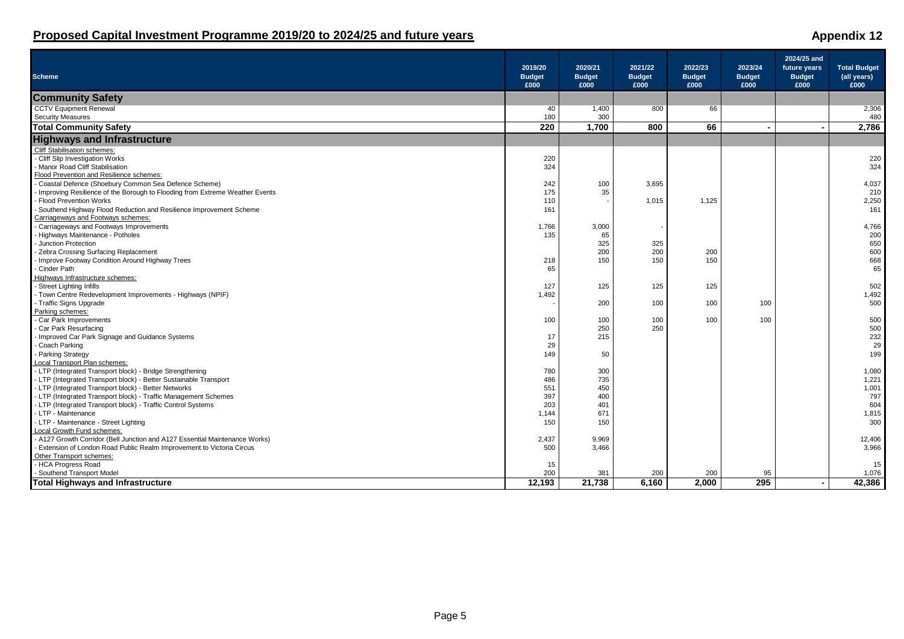| <b>Scheme</b>                                                               | 2019/20<br><b>Budget</b><br>£000 | 2020/21<br><b>Budget</b><br>£000 | 2021/22<br><b>Budget</b><br>£000 | 2022/23<br><b>Budget</b><br>£000 | 2023/24<br><b>Budget</b><br>£000 | 2024/25 and<br>future years<br><b>Budget</b><br>£000 | <b>Total Budget</b><br>(all years)<br>£000 |
|-----------------------------------------------------------------------------|----------------------------------|----------------------------------|----------------------------------|----------------------------------|----------------------------------|------------------------------------------------------|--------------------------------------------|
| <b>Community Safety</b>                                                     |                                  |                                  |                                  |                                  |                                  |                                                      |                                            |
| <b>CCTV Equipment Renewal</b>                                               | 40                               | 1,400                            | 800                              | 66                               |                                  |                                                      | 2,306                                      |
| <b>Security Measures</b>                                                    | 180                              | 300                              |                                  |                                  |                                  |                                                      | 480                                        |
| <b>Total Community Safety</b>                                               | 220                              | 1,700                            | 800                              | 66                               |                                  |                                                      | 2,786                                      |
| <b>Highways and Infrastructure</b>                                          |                                  |                                  |                                  |                                  |                                  |                                                      |                                            |
| <b>Cliff Stabilisation schemes:</b>                                         |                                  |                                  |                                  |                                  |                                  |                                                      |                                            |
| - Cliff Slip Investigation Works                                            | 220                              |                                  |                                  |                                  |                                  |                                                      | 220                                        |
| Manor Road Cliff Stabilisation                                              | 324                              |                                  |                                  |                                  |                                  |                                                      | 324                                        |
| Flood Prevention and Resilience schemes:                                    |                                  |                                  |                                  |                                  |                                  |                                                      |                                            |
| Coastal Defence (Shoebury Common Sea Defence Scheme)                        | 242                              | 100                              | 3,695                            |                                  |                                  |                                                      | 4,037                                      |
| Improving Resilience of the Borough to Flooding from Extreme Weather Events | 175                              | 35                               |                                  |                                  |                                  |                                                      | 210                                        |
| <b>Flood Prevention Works</b>                                               | 110                              |                                  | 1,015                            | 1,125                            |                                  |                                                      | 2,250                                      |
| Southend Highway Flood Reduction and Resilience Improvement Scheme          | 161                              |                                  |                                  |                                  |                                  |                                                      | 161                                        |
| Carriageways and Footways schemes:                                          |                                  |                                  |                                  |                                  |                                  |                                                      |                                            |
| Carriageways and Footways Improvements                                      | 1,766                            | 3,000                            |                                  |                                  |                                  |                                                      | 4,766                                      |
| Highways Maintenance - Potholes                                             | 135                              | 65                               |                                  |                                  |                                  |                                                      | 200                                        |
| Junction Protection                                                         |                                  | 325                              | 325                              |                                  |                                  |                                                      | 650                                        |
| <b>Zebra Crossing Surfacing Replacement</b>                                 |                                  | 200                              | 200                              | 200                              |                                  |                                                      | 600                                        |
| - Improve Footway Condition Around Highway Trees                            | 218                              | 150                              | 150                              | 150                              |                                  |                                                      | 668                                        |
| Cinder Path                                                                 | 65                               |                                  |                                  |                                  |                                  |                                                      | 65                                         |
| Highways Infrastructure schemes:                                            |                                  |                                  |                                  |                                  |                                  |                                                      |                                            |
| - Street Lighting Infills                                                   | 127                              | 125                              | 125                              | 125                              |                                  |                                                      | 502                                        |
| - Town Centre Redevelopment Improvements - Highways (NPIF)                  | 1,492                            |                                  |                                  |                                  |                                  |                                                      | 1,492                                      |
| - Traffic Signs Upgrade                                                     |                                  | 200                              | 100                              | 100                              | 100                              |                                                      | 500                                        |
| Parking schemes:                                                            |                                  |                                  |                                  |                                  |                                  |                                                      |                                            |
| - Car Park Improvements                                                     | 100                              | 100                              | 100                              | 100                              | 100                              |                                                      | 500                                        |
| Car Park Resurfacing                                                        |                                  | 250                              | 250                              |                                  |                                  |                                                      | 500                                        |
| Improved Car Park Signage and Guidance Systems                              | 17                               | 215                              |                                  |                                  |                                  |                                                      | 232                                        |
| Coach Parking                                                               | 29                               |                                  |                                  |                                  |                                  |                                                      | 29                                         |
| Parking Strategy                                                            | 149                              | 50                               |                                  |                                  |                                  |                                                      | 199                                        |
| Local Transport Plan schemes:                                               |                                  |                                  |                                  |                                  |                                  |                                                      |                                            |
| - LTP (Integrated Transport block) - Bridge Strengthening                   | 780                              | 300                              |                                  |                                  |                                  |                                                      | 1,080                                      |
| - LTP (Integrated Transport block) - Better Sustainable Transport           | 486                              | 735                              |                                  |                                  |                                  |                                                      | 1,221                                      |
| - LTP (Integrated Transport block) - Better Networks                        | 551                              | 450                              |                                  |                                  |                                  |                                                      | 1,001                                      |
| - LTP (Integrated Transport block) - Traffic Management Schemes             | 397                              | 400                              |                                  |                                  |                                  |                                                      | 797                                        |
| - LTP (Integrated Transport block) - Traffic Control Systems                | 203                              | 401                              |                                  |                                  |                                  |                                                      | 604                                        |
| - LTP - Maintenance                                                         | 1,144                            | 671                              |                                  |                                  |                                  |                                                      | 1,815                                      |
| - LTP - Maintenance - Street Lighting                                       | 150                              | 150                              |                                  |                                  |                                  |                                                      | 300                                        |
| Local Growth Fund schemes:<br>- A127 Growth Corridor (Bell.                 |                                  |                                  |                                  |                                  |                                  |                                                      |                                            |
| - A127 Growth Corridor (Bell Junction and A127 Essential Maintenance Works) | 2,437                            | 9,969                            |                                  |                                  |                                  |                                                      | 12,406                                     |
| Extension of London Road Public Realm Improvement to Victoria Circus        | 500                              | 3.466                            |                                  |                                  |                                  |                                                      | 3,966                                      |
| Other Transport schemes:                                                    |                                  |                                  |                                  |                                  |                                  |                                                      |                                            |
| <b>HCA Progress Road</b>                                                    | 15                               |                                  |                                  |                                  |                                  |                                                      | 15                                         |
| - Southend Transport Model                                                  | 200                              | 381                              | 200                              | 200                              | 95                               |                                                      | 1,076                                      |
| <b>Total Highways and Infrastructure</b>                                    | 12,193                           | 21,738                           | 6.160                            | 2.000                            | 295                              |                                                      | 42,386                                     |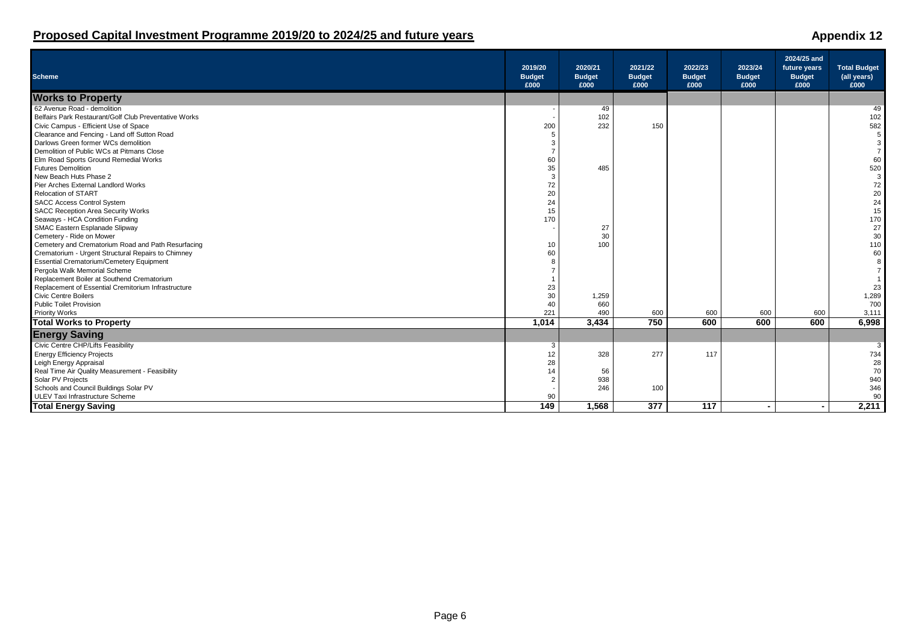### **Scheme 2019/20 Budget 2020/21 Budget 2021/22 Budget 2022/23 Budget 2023/24 Budget 2024/25 and future years Budget £000 £000 £000 £000 £000 £000 £000 Works to Property**<br>62 Avenue Road - demolition 62 Avenue Road - demolition - 49 49 Belfairs Park Restaurant/Golf Club Preventative Works - 102 102 Civic Campus - Efficient Use of Space 200 232 150 582 Clearance and Fencing - Land off Sutton Road 5 5 Darlows Green former WCs demolition 3 3 Demolition of Public WCs at Pitmans Close 7 7 Elm Road Sports Ground Remedial Works 60 60 Futures Demolition 35 485 520 New Beach Huts Phase 2 3 3 3 3 3 3 3 3 3 3 4 3 3 4 3 3 4 3 3 4 3 3 4 3 3 4 3 3 4 3 3 4 3 3 4 3 3 4 3 3 4 3 3 4 3 4 3 4 3 4 3 4 3 4 3 4 3 4 3 4 3 4 3 4 3 4 3 4 3 4 3 4 3 4 3 4 3 4 3 4 3 4 3 4 3 4 3 4 3 4 3 4 3 4 3 4 3 4 3 4 Pier Arches External Landlord Works 72 72 Relocation of START 20 20 SACC Access Control System 24 24 SACC Access Control System and System and System and SACC Access Control System and SACC Access Control System and SACC Reception Area Security Works (and SACC Reception Area Security Works (and SACC Reception Area Securit Seaways - HCA Condition Funding 170 170 SMAC Eastern Esplanade Slipway - 27 27 Cemetery - Ride on Mower 30 30 Cemetery and Crematorium Road and Path Resurfacing 10 100 110 Crematorium - Urgent Structural Repairs to Chimney in the common structural Repairs to Chimney in the common structural Repairs to Chimney in the common structural Repairs to Chimney in the common structural Repairs to Chi Essential Crematorium/Cemetery Equipment 8 8 Pergola Walk Memorial Scheme 7 7 Replacement Boiler at Southend Crematorium 1<br>Replacement of Essential Cremitorium Infrastructure 1 23 and 1 23 and 23 and 23 and 23 and 23 and 23 and 23 and 23 and 23 and 23 and 23 and 23 and 23 and 23 and 23 and 23 and 23 Replacement of Essential Cremitorium Infrastructure 23 23 Civic Centre Boilers 30 1,259 1,289 Public Toilet Provision 40 660 700 Priority Works 221 490 600 600 600 600 3,111 **Total Works to Property 1,014 3,434 750 600 600 600 6,998 Energy Saving** Civic Centre CHP/Lifts Feasibility and the control of the Sample of The Sample of The Sample of The Sample of The Sample of The Sample of The Sample of The Sample of The Sample of The Sample of The Sample of The Sample of Energy Efficiency Projects (and the control of the control of the control of the control of the control of the control of the control of the control of the control of the control of the control of the control of the contro Leigh Energy Appraisal 28 28 Real Time Air Quality Measurement - Feasibility 14 56 70 Solar PV Projects 2 938 940 Schools and Council Buildings Solar PV - 246 - 200 - 200 - 200 - 200 - 200 - 200 - 200 - 200 - 200 - 200 - 200<br>ULEV Taxi Infrastructure Scheme - 200 - 200 - 200 - 200 - 200 - 200 - 200 - 200 - 200 - 200 - 200 - 200 - 200 - ULEV Taxi Infrastructure Scheme 90 90 **Total Energy Saving 149 1,568 377 117 - - 2,211**

### **Proposed Capital Investment Programme 2019/20 to 2024/25 and future years Appendix 12 Appendix 12**

 **Total Budget (all years)**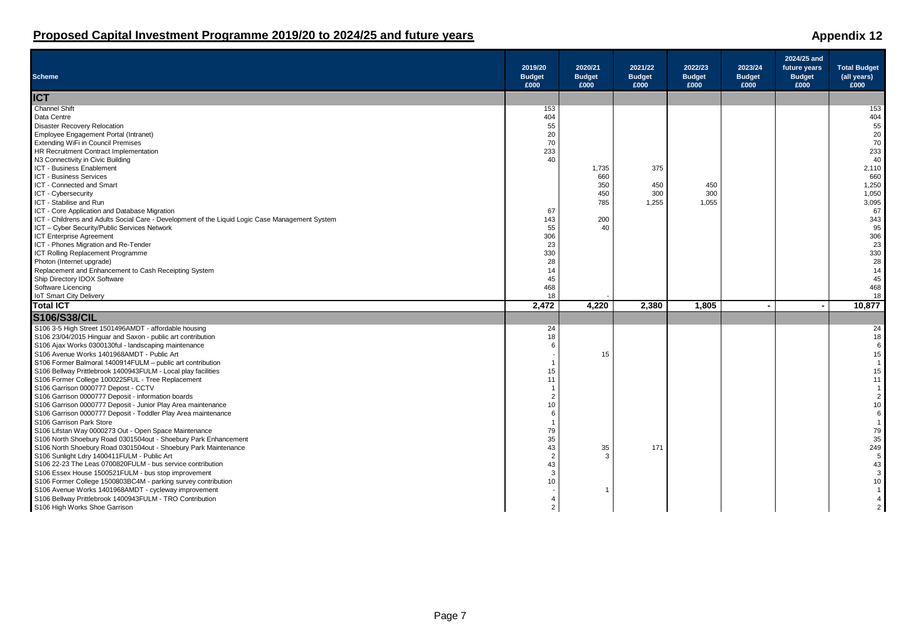| <b>Scheme</b>                                                                                                                                    | 2019/20<br><b>Budget</b><br>£000 | 2020/21<br><b>Budget</b><br>£000 | 2021/22<br><b>Budget</b><br>£000 | 2022/23<br><b>Budget</b><br>£000 | 2023/24<br><b>Budget</b><br>£000 | 2024/25 and<br>future years<br><b>Budget</b><br>£000 | <b>Total Budget</b><br>(all years)<br>£000 |
|--------------------------------------------------------------------------------------------------------------------------------------------------|----------------------------------|----------------------------------|----------------------------------|----------------------------------|----------------------------------|------------------------------------------------------|--------------------------------------------|
| <b>ICT</b>                                                                                                                                       |                                  |                                  |                                  |                                  |                                  |                                                      |                                            |
| <b>Channel Shift</b>                                                                                                                             | 153                              |                                  |                                  |                                  |                                  |                                                      | 153                                        |
| Data Centre                                                                                                                                      | 404                              |                                  |                                  |                                  |                                  |                                                      | 404                                        |
| <b>Disaster Recovery Relocation</b>                                                                                                              | 55                               |                                  |                                  |                                  |                                  |                                                      | 55                                         |
| Employee Engagement Portal (Intranet)                                                                                                            | $20\,$                           |                                  |                                  |                                  |                                  |                                                      | 20                                         |
| <b>Extending WiFi in Council Premises</b>                                                                                                        | 70                               |                                  |                                  |                                  |                                  |                                                      | 70                                         |
| HR Recruitment Contract Implementation                                                                                                           | 233                              |                                  |                                  |                                  |                                  |                                                      | 233                                        |
| N3 Connectivity in Civic Building                                                                                                                | 40                               |                                  |                                  |                                  |                                  |                                                      | 40                                         |
| ICT - Business Enablement                                                                                                                        |                                  | 1,735                            | 375                              |                                  |                                  |                                                      | 2,110                                      |
| <b>ICT - Business Services</b>                                                                                                                   |                                  | 660                              |                                  |                                  |                                  |                                                      | 660                                        |
| ICT - Connected and Smart                                                                                                                        |                                  | 350                              | 450                              | 450                              |                                  |                                                      | 1,250                                      |
| ICT - Cybersecurity                                                                                                                              |                                  | 450                              | 300                              | 300                              |                                  |                                                      | 1,050                                      |
| ICT - Stabilise and Run                                                                                                                          |                                  | 785                              | 1,255                            | 1,055                            |                                  |                                                      | 3,095<br>67                                |
| ICT - Core Application and Database Migration<br>ICT - Childrens and Adults Social Care - Development of the Liquid Logic Case Management System | 67<br>143                        | 200                              |                                  |                                  |                                  |                                                      | 343                                        |
|                                                                                                                                                  | 55                               | 40                               |                                  |                                  |                                  |                                                      | 95                                         |
| ICT - Cyber Security/Public Services Network<br><b>ICT Enterprise Agreement</b>                                                                  |                                  |                                  |                                  |                                  |                                  |                                                      | 306                                        |
| ICT - Phones Migration and Re-Tender                                                                                                             | 306<br>23                        |                                  |                                  |                                  |                                  |                                                      | 23                                         |
| ICT Rolling Replacement Programme                                                                                                                | 330                              |                                  |                                  |                                  |                                  |                                                      | 330                                        |
| Photon (Internet upgrade)                                                                                                                        | 28                               |                                  |                                  |                                  |                                  |                                                      | 28                                         |
| Replacement and Enhancement to Cash Receipting System                                                                                            | 14                               |                                  |                                  |                                  |                                  |                                                      | 14                                         |
| Ship Directory IDOX Software                                                                                                                     | 45                               |                                  |                                  |                                  |                                  |                                                      | 45                                         |
| Software Licencing                                                                                                                               | 468                              |                                  |                                  |                                  |                                  |                                                      | 468                                        |
| <b>IoT Smart City Delivery</b>                                                                                                                   | 18                               |                                  |                                  |                                  |                                  |                                                      | 18                                         |
| <b>Total ICT</b>                                                                                                                                 | 2,472                            | 4,220                            | 2,380                            | 1,805                            | $\overline{\phantom{a}}$         | $\sim$                                               | 10,877                                     |
| <b>S106/S38/CIL</b>                                                                                                                              |                                  |                                  |                                  |                                  |                                  |                                                      |                                            |
|                                                                                                                                                  |                                  |                                  |                                  |                                  |                                  |                                                      |                                            |
| S106 3-5 High Street 1501496AMDT - affordable housing<br>S106 23/04/2015 Hinguar and Saxon - public art contribution                             | 24<br>18                         |                                  |                                  |                                  |                                  |                                                      | 24<br>18                                   |
| S106 Ajax Works 0300130ful - landscaping maintenance                                                                                             | 6                                |                                  |                                  |                                  |                                  |                                                      | 6                                          |
| S106 Avenue Works 1401968AMDT - Public Art                                                                                                       |                                  | 15                               |                                  |                                  |                                  |                                                      | 15                                         |
| S106 Former Balmoral 1400914FULM - public art contribution                                                                                       |                                  |                                  |                                  |                                  |                                  |                                                      | $\overline{1}$                             |
| S106 Bellway Prittlebrook 1400943FULM - Local play facilities                                                                                    | 15                               |                                  |                                  |                                  |                                  |                                                      | 15                                         |
| S106 Former College 1000225FUL - Tree Replacement                                                                                                | 11                               |                                  |                                  |                                  |                                  |                                                      | 11                                         |
| S106 Garrison 0000777 Depost - CCTV                                                                                                              |                                  |                                  |                                  |                                  |                                  |                                                      | $\overline{1}$                             |
| S106 Garrison 0000777 Deposit - information boards                                                                                               | $\overline{2}$                   |                                  |                                  |                                  |                                  |                                                      | $\overline{2}$                             |
| S106 Garrison 0000777 Deposit - Junior Play Area maintenance                                                                                     | 10                               |                                  |                                  |                                  |                                  |                                                      | 10                                         |
| S106 Garrison 0000777 Deposit - Toddler Play Area maintenance                                                                                    | 6                                |                                  |                                  |                                  |                                  |                                                      | 6                                          |
| S106 Garrison Park Store                                                                                                                         |                                  |                                  |                                  |                                  |                                  |                                                      | $\overline{1}$                             |
| S106 Lifstan Way 0000273 Out - Open Space Maintenance                                                                                            | 79                               |                                  |                                  |                                  |                                  |                                                      | 79                                         |
| S106 North Shoebury Road 0301504out - Shoebury Park Enhancement                                                                                  | 35                               |                                  |                                  |                                  |                                  |                                                      | 35                                         |
| S106 North Shoebury Road 0301504out - Shoebury Park Maintenance                                                                                  | 43                               | 35                               | 171                              |                                  |                                  |                                                      | 249                                        |
| S106 Sunlight Ldry 1400411FULM - Public Art                                                                                                      | $\overline{2}$                   | 3                                |                                  |                                  |                                  |                                                      | 5                                          |
| S106 22-23 The Leas 0700820FULM - bus service contribution                                                                                       | 43                               |                                  |                                  |                                  |                                  |                                                      | 43                                         |
| S106 Essex House 1500521FULM - bus stop improvement                                                                                              | 3                                |                                  |                                  |                                  |                                  |                                                      | 3                                          |
| S106 Former College 1500803BC4M - parking survey contribution                                                                                    | 10                               |                                  |                                  |                                  |                                  |                                                      | 10                                         |
| S106 Avenue Works 1401968AMDT - cycleway improvement                                                                                             |                                  | $\mathbf 1$                      |                                  |                                  |                                  |                                                      |                                            |
| S106 Bellway Prittlebrook 1400943FULM - TRO Contribution                                                                                         | $\overline{4}$                   |                                  |                                  |                                  |                                  |                                                      | $\overline{4}$                             |
| S106 High Works Shoe Garrison                                                                                                                    | $\overline{2}$                   |                                  |                                  |                                  |                                  |                                                      | 2                                          |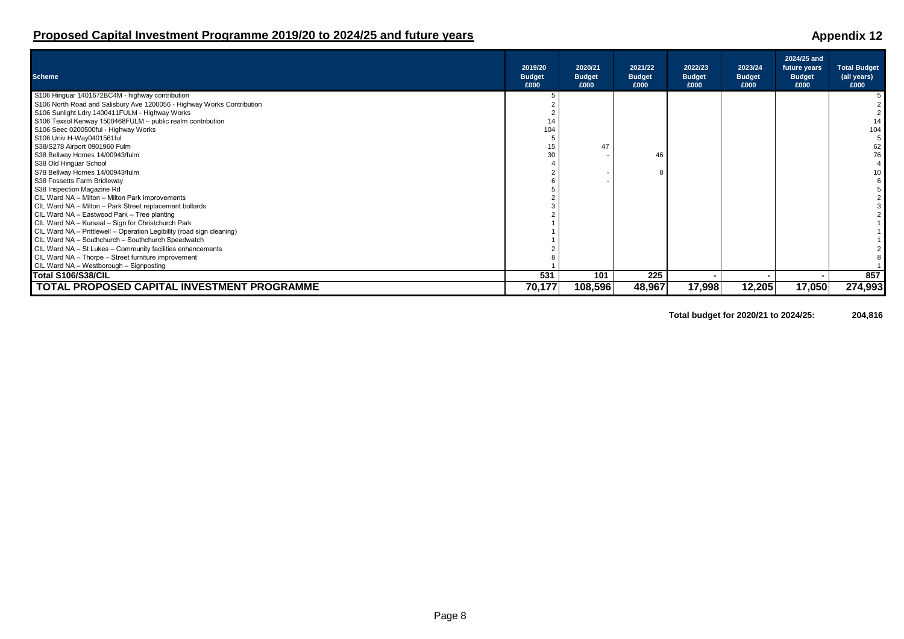### Page 8

## **Proposed Capital Investment Programme 2019/20 to 2024/25 and future years Appendix 12 Appendix 12**

| <b>Scheme</b>                                                          | 2019/20<br><b>Budget</b><br>£000 | 2020/21<br><b>Budget</b><br>£000 | 2021/22<br><b>Budget</b><br>£000 | 2022/23<br><b>Budget</b><br>£000 | 2023/24<br><b>Budget</b><br>£000 | 2024/25 and<br>future years<br><b>Budget</b><br>£000 | <b>Total Budget</b><br>(all years)<br>£000 |
|------------------------------------------------------------------------|----------------------------------|----------------------------------|----------------------------------|----------------------------------|----------------------------------|------------------------------------------------------|--------------------------------------------|
| S106 Hinguar 1401672BC4M - highway contribution                        |                                  |                                  |                                  |                                  |                                  |                                                      |                                            |
| S106 North Road and Salisbury Ave 1200056 - Highway Works Contribution |                                  |                                  |                                  |                                  |                                  |                                                      |                                            |
| S106 Sunlight Ldry 1400411FULM - Highway Works                         |                                  |                                  |                                  |                                  |                                  |                                                      |                                            |
| S106 Texsol Kenway 1500468FULM - public realm contribution             |                                  |                                  |                                  |                                  |                                  |                                                      |                                            |
| S106 Seec 0200500ful - Highway Works                                   | 104                              |                                  |                                  |                                  |                                  |                                                      | 104                                        |
| S106 Univ H-Way0401561ful                                              |                                  |                                  |                                  |                                  |                                  |                                                      |                                            |
| S38/S278 Airport 0901960 Fulm                                          | 15                               | 47                               |                                  |                                  |                                  |                                                      | 62                                         |
| S38 Bellway Homes 14/00943/fulm                                        | 30                               |                                  | 46                               |                                  |                                  |                                                      | 76                                         |
| S38 Old Hinguar School                                                 |                                  |                                  |                                  |                                  |                                  |                                                      |                                            |
| S78 Bellway Homes 14/00943/fulm                                        |                                  |                                  |                                  |                                  |                                  |                                                      |                                            |
| S38 Fossetts Farm Bridleway                                            |                                  |                                  |                                  |                                  |                                  |                                                      |                                            |
| S38 Inspection Magazine Rd                                             |                                  |                                  |                                  |                                  |                                  |                                                      |                                            |
| CIL Ward NA - Milton - Milton Park improvements                        |                                  |                                  |                                  |                                  |                                  |                                                      |                                            |
| CIL Ward NA - Milton - Park Street replacement bollards                |                                  |                                  |                                  |                                  |                                  |                                                      |                                            |
| CIL Ward NA - Eastwood Park - Tree planting                            |                                  |                                  |                                  |                                  |                                  |                                                      |                                            |
| CIL Ward NA - Kursaal - Sign for Christchurch Park                     |                                  |                                  |                                  |                                  |                                  |                                                      |                                            |
| CIL Ward NA - Prittlewell - Operation Legibility (road sign cleaning)  |                                  |                                  |                                  |                                  |                                  |                                                      |                                            |
| CIL Ward NA - Southchurch - Southchurch Speedwatch                     |                                  |                                  |                                  |                                  |                                  |                                                      |                                            |
| CIL Ward NA - St Lukes - Community facilities enhancements             |                                  |                                  |                                  |                                  |                                  |                                                      |                                            |
| CIL Ward NA - Thorpe - Street furniture improvement                    |                                  |                                  |                                  |                                  |                                  |                                                      |                                            |
| CIL Ward NA - Westborough - Signposting                                |                                  |                                  |                                  |                                  |                                  |                                                      |                                            |
| Total S106/S38/CIL                                                     | 531                              | 101                              | 225                              |                                  |                                  |                                                      | 857                                        |
| TOTAL PROPOSED CAPITAL INVESTMENT PROGRAMME                            | 70,177                           | 108,596                          | 48,967                           | 17,998                           | 12,205                           | 17,050                                               | 274,993                                    |

**Total budget for 2020/21 to 2024/25: 204,816**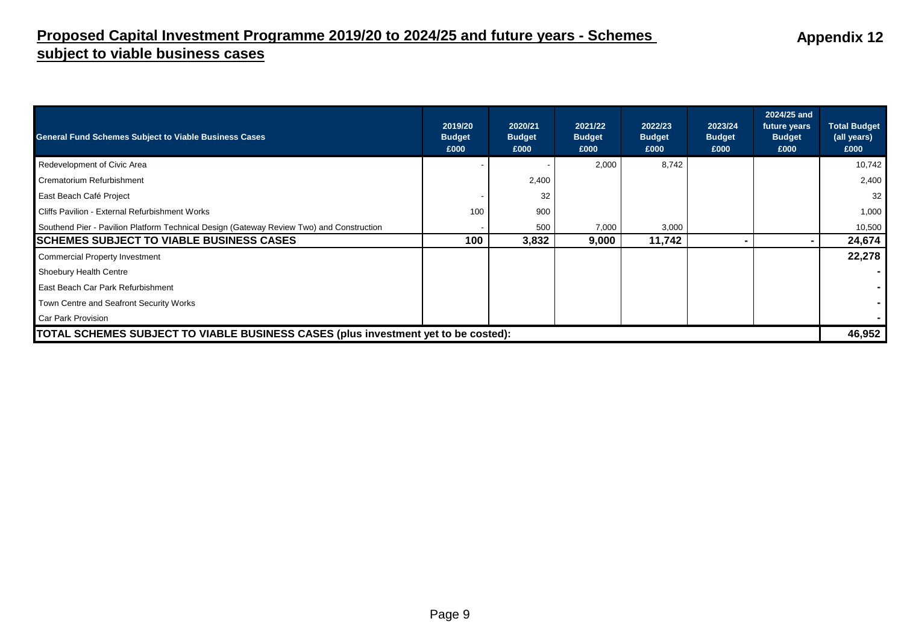## **Proposed Capital Investment Programme 2019/20 to 2024/25 and future years - Schemes subject to viable business cases**

| <b>General Fund Schemes Subject to Viable Business Cases</b>                             | 2019/20<br><b>Budget</b><br>£000 | 2020/21<br><b>Budget</b><br>£000 | 2021/22<br><b>Budget</b><br>£000 | 2022/23<br><b>Budget</b><br>£000 | 2023/24<br><b>Budget</b><br>£000 | 2024/25 and<br>future years<br><b>Budget</b><br>£000 | <b>Total Budget</b><br>(all years)<br>£000 |
|------------------------------------------------------------------------------------------|----------------------------------|----------------------------------|----------------------------------|----------------------------------|----------------------------------|------------------------------------------------------|--------------------------------------------|
| Redevelopment of Civic Area                                                              |                                  |                                  | 2,000                            | 8,742                            |                                  |                                                      | 10,742                                     |
| Crematorium Refurbishment                                                                |                                  | 2,400                            |                                  |                                  |                                  |                                                      | 2,400                                      |
| East Beach Café Project                                                                  |                                  | 32                               |                                  |                                  |                                  |                                                      | 32                                         |
| Cliffs Pavilion - External Refurbishment Works                                           | 100                              | 900                              |                                  |                                  |                                  |                                                      | 1,000                                      |
| Southend Pier - Pavilion Platform Technical Design (Gateway Review Two) and Construction |                                  | 500                              | 7,000                            | 3,000                            |                                  |                                                      | 10,500                                     |
| <b>SCHEMES SUBJECT TO VIABLE BUSINESS CASES</b>                                          | 100                              | 3,832                            | 9,000                            | 11,742                           |                                  |                                                      | 24,674                                     |
| <b>Commercial Property Investment</b>                                                    |                                  |                                  |                                  |                                  |                                  |                                                      | 22,278                                     |
| <b>Shoebury Health Centre</b>                                                            |                                  |                                  |                                  |                                  |                                  |                                                      |                                            |
| East Beach Car Park Refurbishment                                                        |                                  |                                  |                                  |                                  |                                  |                                                      |                                            |
| Town Centre and Seafront Security Works                                                  |                                  |                                  |                                  |                                  |                                  |                                                      |                                            |
| Car Park Provision                                                                       |                                  |                                  |                                  |                                  |                                  |                                                      |                                            |
| TOTAL SCHEMES SUBJECT TO VIABLE BUSINESS CASES (plus investment yet to be costed):       |                                  |                                  |                                  |                                  |                                  |                                                      | 46,952                                     |